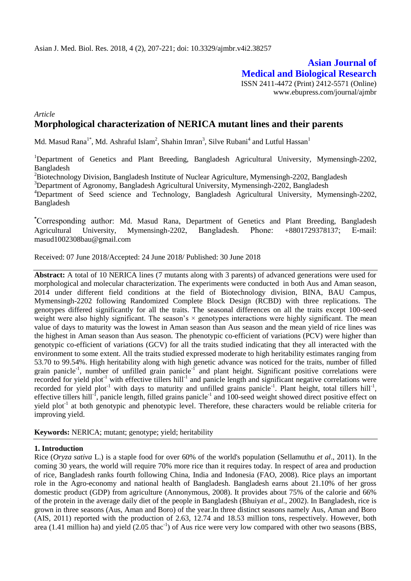**Asian Journal of Medical and Biological Research** ISSN 2411-4472 (Print) 2412-5571 (Online) www.ebupress.com/journal/ajmbr

## *Article* **Morphological characterization of NERICA mutant lines and their parents**

Md. Masud Rana<sup>1\*</sup>, Md. Ashraful Islam<sup>2</sup>, Shahin Imran<sup>3</sup>, Silve Rubani<sup>4</sup> and Lutful Hassan<sup>1</sup>

<sup>1</sup>Department of Genetics and Plant Breeding, Bangladesh Agricultural University, Mymensingh-2202, Bangladesh

 ${}^{2}$ Biotechnology Division, Bangladesh Institute of Nuclear Agriculture, Mymensingh-2202, Bangladesh

<sup>3</sup>Department of Agronomy, Bangladesh Agricultural University, Mymensingh-2202, Bangladesh

<sup>4</sup>Department of Seed science and Technology, Bangladesh Agricultural University, Mymensingh-2202, Bangladesh

**\***Corresponding author: Md. Masud Rana, Department of Genetics and Plant Breeding, Bangladesh Agricultural University, Mymensingh-2202, Bangladesh. Phone: +8801729378137; E-mail: masud1002308bau@gmail.com

Received: 07 June 2018/Accepted: 24 June 2018/ Published: 30 June 2018

**Abstract:** A total of 10 NERICA lines (7 mutants along with 3 parents) of advanced generations were used for morphological and molecular characterization. The experiments were conducted in both Aus and Aman season, 2014 under different field conditions at the field of Biotechnology division, BINA, BAU Campus, Mymensingh-2202 following Randomized Complete Block Design (RCBD) with three replications. The genotypes differed significantly for all the traits. The seasonal differences on all the traits except 100-seed weight were also highly significant. The season's  $\times$  genotypes interactions were highly significant. The mean value of days to maturity was the lowest in Aman season than Aus season and the mean yield of rice lines was the highest in Aman season than Aus season. The phenotypic co-efficient of variations (PCV) were higher than genotypic co-efficient of variations (GCV) for all the traits studied indicating that they all interacted with the environment to some extent. All the traits studied expressed moderate to high heritability estimates ranging from 53.70 to 99.54%. High heritability along with high genetic advance was noticed for the traits, number of filled grain panicle<sup>-1</sup>, number of unfilled grain panicle<sup>-1</sup> and plant height. Significant positive correlations were recorded for yield plot<sup>-1</sup> with effective tillers hill<sup>-1</sup> and panicle length and significant negative correlations were recorded for yield plot<sup>-1</sup> with days to maturity and unfilled grains panicle<sup>-1</sup>. Plant height, total tillers hill<sup>-1</sup>, effective tillers hill<sup>-1</sup>, panicle length, filled grains panicle<sup>-1</sup> and 100-seed weight showed direct positive effect on yield plot<sup>-1</sup> at both genotypic and phenotypic level. Therefore, these characters would be reliable criteria for improving yield.

**Keywords:** NERICA; mutant; genotype; yield; heritability

## **1. Introduction**

Rice (*Oryza sativa* L.) is a staple food for over 60% of the world's population (Sellamuthu *et al*., 2011). In the coming 30 years, the world will require 70% more rice than it requires today. In respect of area and production of rice, Bangladesh ranks fourth following China, India and Indonesia (FAO, 2008). Rice plays an important role in the Agro-economy and national health of Bangladesh. Bangladesh earns about 21.10% of her gross domestic product (GDP) from agriculture (Annonymous, 2008). It provides about 75% of the calorie and 66% of the protein in the average daily diet of the people in Bangladesh (Bhuiyan *et al*., 2002). In Bangladesh, rice is grown in three seasons (Aus, Aman and Boro) of the year.In three distinct seasons namely Aus, Aman and Boro (AIS, 2011) reported with the production of 2.63, 12.74 and 18.53 million tons, respectively. However, both area (1.41 million ha) and yield  $(2.05 \text{ thac}^{-1})$  of Aus rice were very low compared with other two seasons (BBS,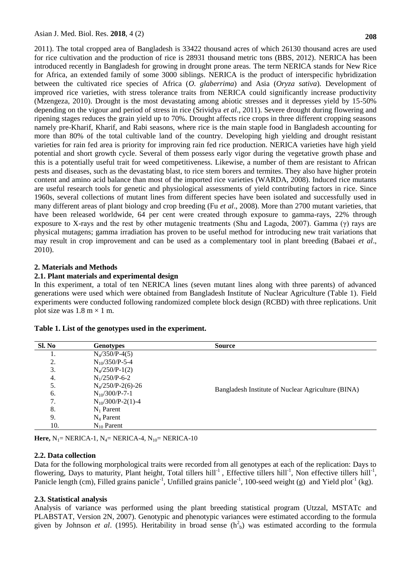2011). The total cropped area of Bangladesh is 33422 thousand acres of which 26130 thousand acres are used for rice cultivation and the production of rice is 28931 thousand metric tons (BBS, 2012). NERICA has been introduced recently in Bangladesh for growing in drought prone areas. The term NERICA stands for New Rice for Africa, an extended family of some 3000 siblings. NERICA is the product of interspecific hybridization between the cultivated rice species of Africa (*O. glaberrima*) and Asia (*Oryza sativa*). Development of improved rice varieties, with stress tolerance traits from NERICA could significantly increase productivity (Mzengeza, 2010). Drought is the most devastating among abiotic stresses and it depresses yield by 15-50% depending on the vigour and period of stress in rice (Srividya *et al*., 2011). Severe drought during flowering and ripening stages reduces the grain yield up to 70%. Drought affects rice crops in three different cropping seasons namely pre-Kharif, Kharif, and Rabi seasons, where rice is the main staple food in Bangladesh accounting for more than 80% of the total cultivable land of the country. Developing high yielding and drought resistant varieties for rain fed area is priority for improving rain fed rice production. NERICA varieties have high yield potential and short growth cycle. Several of them possess early vigor during the vegetative growth phase and this is a potentially useful trait for weed competitiveness. Likewise, a number of them are resistant to African pests and diseases, such as the devastating blast, to rice stem borers and termites. They also have higher protein content and amino acid balance than most of the imported rice varieties (WARDA, 2008). Induced rice mutants are useful research tools for genetic and physiological assessments of yield contributing factors in rice. Since 1960s, several collections of mutant lines from different species have been isolated and successfully used in many different areas of plant biology and crop breeding (Fu *et al*., 2008). More than 2700 mutant varieties, that have been released worldwide, 64 per cent were created through exposure to gamma-rays, 22% through exposure to X-rays and the rest by other mutagenic treatments (Shu and Lagoda, 2007). Gamma ( $\gamma$ ) rays are physical mutagens; gamma irradiation has proven to be useful method for introducing new trait variations that may result in crop improvement and can be used as a complementary tool in plant breeding (Babaei *et al*., 2010).

## **2. Materials and Methods**

## **2.1. Plant materials and experimental design**

In this experiment, a total of ten NERICA lines (seven mutant lines along with three parents) of advanced generations were used which were obtained from Bangladesh Institute of Nuclear Agriculture (Table 1). Field experiments were conducted following randomized complete block design (RCBD) with three replications. Unit plot size was  $1.8 \text{ m} \times 1 \text{ m}$ .

| Sl. No | <b>Genotypes</b>      | <b>Source</b>                                      |
|--------|-----------------------|----------------------------------------------------|
| ī.     | $N_4/350/P-4(5)$      |                                                    |
| 2.     | $N_{10}/350/P$ -5-4   |                                                    |
| 3.     | $N_4/250/P-1(2)$      |                                                    |
| 4.     | $N_1/250/P-6-2$       |                                                    |
| 5.     | $N_4/250/P-2(6)-26$   |                                                    |
| 6.     | $N_{10}/300/P$ -7-1   | Bangladesh Institute of Nuclear Agriculture (BINA) |
| 7.     | $N_{10}/300/P-2(1)-4$ |                                                    |
| 8.     | $N_1$ Parent          |                                                    |
| 9.     | $N_4$ Parent          |                                                    |
| 10.    | $N_{10}$ Parent       |                                                    |

**Table 1. List of the genotypes used in the experiment.**

**Here,**  $N_1$  **= NERICA-1,**  $N_4$  **= NERICA-4,**  $N_{10}$  **= NERICA-10** 

### **2.2. Data collection**

Data for the following morphological traits were recorded from all genotypes at each of the replication: Days to flowering, Days to maturity, Plant height, Total tillers hill<sup>-1</sup>, Effective tillers hill<sup>-1</sup>, Non effective tillers hill<sup>-1</sup>, Panicle length (cm), Filled grains panicle<sup>-1</sup>, Unfilled grains panicle<sup>-1</sup>, 100-seed weight (g) and Yield plot<sup>-1</sup> (kg).

### **2.3. Statistical analysis**

Analysis of variance was performed using the plant breeding statistical program (Utzzal, MSTATc and PLABSTAT, Version 2N, 2007). Genotypic and phenotypic variances were estimated according to the formula given by Johnson *et al.* (1995). Heritability in broad sense  $(h_b^2)$  was estimated according to the formula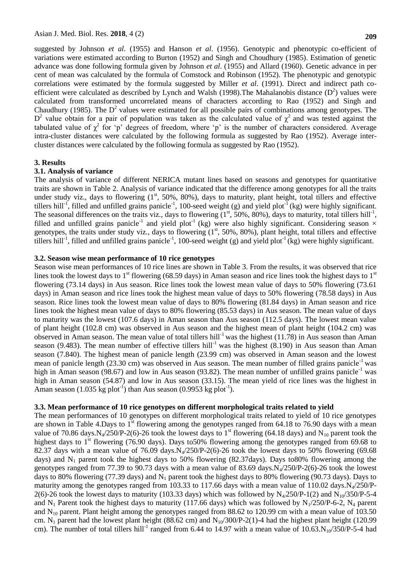suggested by Johnson *et al*. (1955) and Hanson *et al*. (1956). Genotypic and phenotypic co-efficient of variations were estimated according to Burton (1952) and Singh and Choudhury (1985). Estimation of genetic advance was done following formula given by Johnson *et al*. (1955) and Allard (1960). Genetic advance in per cent of mean was calculated by the formula of Comstock and Robinson (1952). The phenotypic and genotypic correlations were estimated by the formula suggested by Miller *et al*. (1991). Direct and indirect path coefficient were calculated as described by Lynch and Walsh (1998). The Mahalanobis distance  $(D^2)$  values were calculated from transformed uncorrelated means of characters according to Rao (1952) and Singh and Chaudhury (1985). The  $D<sup>2</sup>$  values were estimated for all possible pairs of combinations among genotypes. The D<sup>2</sup> value obtain for a pair of population was taken as the calculated value of  $\chi^2$  and was tested against the tabulated value of  $\chi^2$  for 'p' degrees of freedom, where 'p' is the number of characters considered. Average intra-cluster distances were calculated by the following formula as suggested by Rao (1952). Average intercluster distances were calculated by the following formula as suggested by Rao (1952).

### **3. Results**

### **3.1. Analysis of variance**

The analysis of variance of different NERICA mutant lines based on seasons and genotypes for quantitative traits are shown in Table 2. Analysis of variance indicated that the difference among genotypes for all the traits under study viz., days to flowering  $(1<sup>st</sup>, 50<sup>96</sup>, 80<sup>96</sup>)$ , days to maturity, plant height, total tillers and effective tillers hill<sup>-1</sup>, filled and unfilled grains panicle<sup>-1</sup>, 100-seed weight (g) and yield plot<sup>-1</sup> (kg) were highly significant. The seasonal differences on the traits viz., days to flowering  $(1<sup>st</sup>, 50%, 80%)$ , days to maturity, total tillers hill<sup>-1</sup>, filled and unfilled grains panicle<sup>-1</sup> and yield plot<sup>-1</sup> (kg) were also highly significant. Considering season  $\times$ genotypes, the traits under study viz., days to flowering (1<sup>st</sup>, 50%, 80%), plant height, total tillers and effective tillers hill<sup>-1</sup>, filled and unfilled grains panicle<sup>-1</sup>, 100-seed weight (g) and yield plot<sup>-1</sup> (kg) were highly significant.

### **3.2. Season wise mean performance of 10 rice genotypes**

Season wise mean performances of 10 rice lines are shown in Table 3. From the results, it was observed that rice lines took the lowest days to 1<sup>st</sup> flowering (68.59 days) in Aman season and rice lines took the highest days to 1<sup>st</sup> flowering (73.14 days) in Aus season. Rice lines took the lowest mean value of days to 50% flowering (73.61 days) in Aman season and rice lines took the highest mean value of days to 50% flowering (78.58 days) in Aus season. Rice lines took the lowest mean value of days to 80% flowering (81.84 days) in Aman season and rice lines took the highest mean value of days to 80% flowering (85.53 days) in Aus season. The mean value of days to maturity was the lowest (107.6 days) in Aman season than Aus season (112.5 days). The lowest mean value of plant height (102.8 cm) was observed in Aus season and the highest mean of plant height (104.2 cm) was observed in Aman season. The mean value of total tillers hill<sup>-1</sup> was the highest (11.78) in Aus season than Aman season (9.483). The mean number of effective tillers hill<sup>-1</sup> was the highest (8.190) in Aus season than Aman season (7.840). The highest mean of panicle length (23.99 cm) was observed in Aman season and the lowest mean of panicle length (23.30 cm) was observed in Aus season. The mean number of filled grains panicle<sup>-1</sup> was high in Aman season (98.67) and low in Aus season (93.82). The mean number of unfilled grains panicle<sup>-1</sup> was high in Aman season (54.87) and low in Aus season (33.15). The mean yield of rice lines was the highest in Aman season  $(1.035 \text{ kg plot}^{-1})$  than Aus season  $(0.9953 \text{ kg plot}^{-1})$ .

## **3.3. Mean performance of 10 rice genotypes on different morphological traits related to yield**

The mean performances of 10 genotypes on different morphological traits related to yield of 10 rice genotypes are shown in Table 4.Days to  $1<sup>st</sup>$  flowering among the genotypes ranged from 64.18 to 76.90 days with a mean value of 70.86 days.N<sub>4</sub>/250/P-2(6)-26 took the lowest days to 1<sup>st</sup> flowering (64.18 days) and N<sub>10</sub> parent took the highest days to  $1<sup>st</sup>$  flowering (76.90 days). Days to 50% flowering among the genotypes ranged from 69.68 to 82.37 days with a mean value of 76.09 days. $N_4/250/P-2(6)$ -26 took the lowest days to 50% flowering (69.68 days) and  $N_1$  parent took the highest days to 50% flowering (82.37days). Days to80% flowering among the genotypes ranged from 77.39 to 90.73 days with a mean value of 83.69 days. $N_4/250/P-2(6)-26$  took the lowest days to 80% flowering (77.39 days) and  $N_1$  parent took the highest days to 80% flowering (90.73 days). Days to maturity among the genotypes ranged from 103.33 to 117.66 days with a mean value of 110.02 days. $N_4/250/P$ -2(6)-26 took the lowest days to maturity (103.33 days) which was followed by  $N_4/250/P-1(2)$  and  $N_{10}/350/P-5-4$ and N<sub>1</sub> Parent took the highest days to maturity (117.66 days) which was followed by N<sub>1</sub>/250/P-6-2, N<sub>4</sub> parent and  $N_{10}$  parent. Plant height among the genotypes ranged from 88.62 to 120.99 cm with a mean value of 103.50 cm. N<sub>1</sub> parent had the lowest plant height (88.62 cm) and N<sub>10</sub>/300/P-2(1)-4 had the highest plant height (120.99 cm). The number of total tillers hill<sup>-1</sup> ranged from 6.44 to 14.97 with a mean value of  $10.63 \text{ N}_{10}/350/P$ -5-4 had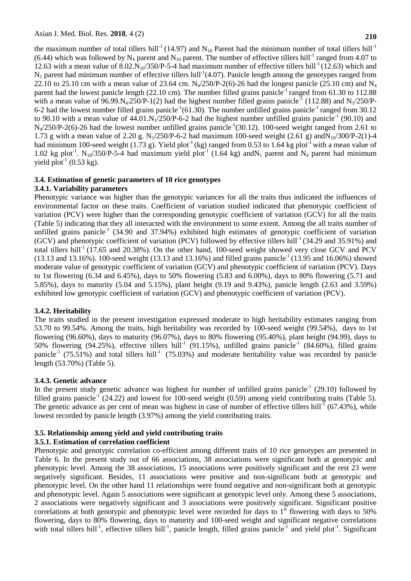the maximum number of total tillers hill<sup>-1</sup> (14.97) and N<sub>10</sub> Parent had the minimum number of total tillers hill<sup>-1</sup> (6.44) which was followed by  $N_4$  parent and  $N_{10}$  parent. The number of effective tillers hill<sup>-1</sup> ranged from 4.07 to 12.63 with a mean value of 8.02. $N_{10}/350/P$ -5-4 had maximum number of effective tillers hill<sup>-1</sup> (12.63) which and  $N_1$  parent had minimum number of effective tillers hill<sup>-1</sup>(4.07). Panicle length among the genotypes ranged from 22.10 to 25.10 cm with a mean value of 23.64 cm.  $N_4$ /250/P-2(6)-26 had the longest panicle (25.10 cm) and  $N_4$ parent had the lowest panicle length (22.10 cm). The number filled grains panicle<sup>-1</sup> ranged from 61.30 to 112.88 with a mean value of  $96.99 \text{ N}_4/250/P-1(2)$  had the highest number filled grains panicle<sup>-1</sup> (112.88) and N<sub>1</sub>/250/P-6-2 had the lowest number filled grains panicle<sup>-1</sup>(61.30). The number unfilled grains panicle<sup>-1</sup> ranged from 30.12 to 90.10 with a mean value of  $44.01 \text{ N}_1/250/P$ -6-2 had the highest number unfilled grains panicle<sup>-1</sup> (90.10) and  $N_4/250/P-2(6)$ -26 had the lowest number unfilled grains panicle<sup>-1</sup>(30.12). 100-seed weight ranged from 2.61 to 1.73 g with a mean value of 2.20 g. N<sub>1</sub>/250/P-6-2 had maximum 100-seed weight (2.61 g) andN<sub>10</sub>/300/P-2(1)-4 had minimum 100-seed weight (1.73 g). Yield plot<sup>-1</sup> (kg) ranged from 0.53 to 1.64 kg plot<sup>-1</sup> with a mean value of 1.02 kg plot<sup>-1</sup>. N<sub>10</sub>/350/P-5-4 had maximum yield plot<sup>-1</sup> (1.64 kg) andN<sub>1</sub> parent and N<sub>4</sub> parent had minimum yield  $plot^{-1}$  (0.53 kg).

### **3.4. Estimation of genetic parameters of 10 rice genotypes 3.4.1. Variability parameters**

Phenotypic variance was higher than the genotypic variances for all the traits thus indicated the influences of environmental factor on these traits. Coefficient of variation studied indicated that phenotypic coefficient of variation (PCV) were higher than the corresponding genotypic coefficient of variation (GCV) for all the traits (Table 5) indicating that they all interacted with the environment to some extent. Among the all traits number of unfilled grains panicle<sup>-1</sup> (34.90 and 37.94%) exhibited high estimates of genotypic coefficient of variation (GCV) and phenotypic coefficient of variation (PCV) followed by effective tillers hill<sup>-1</sup> (34.29 and 35.91%) and total tillers hill<sup>-1</sup> (17.65 and 20.38%). On the other hand, 100-seed weight showed very close GCV and PCV  $(13.13 \text{ and } 13.16\%)$ . 100-seed weight  $(13.13 \text{ and } 13.16\%)$  and filled grains panicle<sup>-1</sup> (13.95 and 16.06%) showed moderate value of genotypic coefficient of variation (GCV) and phenotypic coefficient of variation (PCV). Days to 1st flowering (6.34 and 6.45%), days to 50% flowering (5.83 and 6.00%), days to 80% flowering (5.71 and 5.85%), days to maturity (5.04 and 5.15%), plant height (9.19 and 9.43%), panicle length (2.63 and 3.59%) exhibited low genotypic coefficient of variation (GCV) and phenotypic coefficient of variation (PCV).

## **3.4.2. Heritability**

The traits studied in the present investigation expressed moderate to high heritability estimates ranging from 53.70 to 99.54%. Among the traits, high heritability was recorded by 100-seed weight (99.54%), days to 1st flowering (96.60%), days to maturity (96.07%), days to 80% flowering (95.40%), plant height (94.99), days to 50% flowering (94.25%), effective tillers hill<sup>-1</sup> (91.15%), unfilled grains panicle<sup>-1</sup> (84.60%), filled grains panicle<sup>-1</sup> (75.51%) and total tillers hill<sup>-1</sup> (75.03%) and moderate heritability value was recorded by panicle length (53.70%) (Table 5).

## **3.4.3. Genetic advance**

In the present study genetic advance was highest for number of unfilled grains panicle<sup>-1</sup> (29.10) followed by filled grains panicle<sup>-1</sup> (24.22) and lowest for 100-seed weight (0.59) among yield contributing traits (Table 5). The genetic advance as per cent of mean was highest in case of number of effective tillers hill<sup>-1</sup> (67.43%), while lowest recorded by panicle length (3.97%) among the yield contributing traits.

## **3.5. Relationship among yield and yield contributing traits**

## **3.5.1. Estimation of correlation coefficient**

Phenotypic and genotypic correlation co-efficient among different traits of 10 rice genotypes are presented in Table 6. In the present study out of 66 associations, 38 associations were significant both at genotypic and phenotypic level. Among the 38 associations, 15 associations were positively significant and the rest 23 were negatively significant. Besides, 11 associations were positive and non-significant both at genotypic and phenotypic level. On the other hand 11 relationships were found negative and non-significant both at genotypic and phenotypic level. Again 5 associations were significant at genotypic level only. Among these 5 associations, 2 associations were negatively significant and 3 associations were positively significant. Significant positive correlations at both genotypic and phenotypic level were recorded for days to  $1<sup>st</sup>$  flowering with days to 50% flowering, days to 80% flowering, days to maturity and 100-seed weight and significant negative correlations with total tillers hill<sup>-1</sup>, effective tillers hill<sup>-1</sup>, panicle length, filled grains panicle<sup>-1</sup> and yield plot<sup>-1</sup>. Significant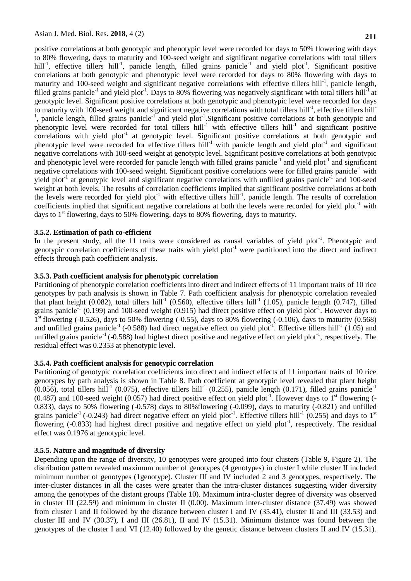positive correlations at both genotypic and phenotypic level were recorded for days to 50% flowering with days to 80% flowering, days to maturity and 100-seed weight and significant negative correlations with total tillers hill<sup>-1</sup>, effective tillers hill<sup>-1</sup>, panicle length, filled grains panicle<sup>-1</sup> and yield plot<sup>-1</sup>. Significant positive correlations at both genotypic and phenotypic level were recorded for days to 80% flowering with days to maturity and 100-seed weight and significant negative correlations with effective tillers hill<sup>-1</sup>, panicle length, filled grains panicle<sup>-1</sup> and yield plot<sup>-1</sup>. Days to 80% flowering was negatively significant with total tillers hill<sup>-1</sup> at genotypic level. Significant positive correlations at both genotypic and phenotypic level were recorded for days to maturity with 100-seed weight and significant negative correlations with total tillers hill<sup>-1</sup>, effective tillers hill<sup>-</sup> <sup>1</sup>, panicle length, filled grains panicle<sup>-1</sup> and yield plot<sup>-1</sup>. Significant positive correlations at both genotypic and phenotypic level were recorded for total tillers hill<sup>-1</sup> with effective tillers hill<sup>-1</sup> and significant positive correlations with yield plot<sup>-1</sup> at genotypic level. Significant positive correlations at both genotypic and phenotypic level were recorded for effective tillers hill<sup>-1</sup> with panicle length and yield plot<sup>-1</sup> and significant negative correlations with 100-seed weight at genotypic level. Significant positive correlations at both genotypic and phenotypic level were recorded for panicle length with filled grains panicle<sup>-1</sup> and yield plot<sup>-1</sup> and significant negative correlations with 100-seed weight. Significant positive correlations were for filled grains panicle $^{-1}$  with yield plot<sup>-1</sup> at genotypic level and significant negative correlations with unfilled grains panicle<sup>-1</sup> and 100-seed weight at both levels. The results of correlation coefficients implied that significant positive correlations at both the levels were recorded for yield plot<sup>-1</sup> with effective tillers hill<sup>-1</sup>, panicle length. The results of correlation coefficients implied that significant negative correlations at both the levels were recorded for yield plot<sup>-1</sup> with days to  $1<sup>st</sup>$  flowering, days to 50% flowering, days to 80% flowering, days to maturity.

## **3.5.2. Estimation of path co-efficient**

In the present study, all the 11 traits were considered as causal variables of yield plot<sup>-1</sup>. Phenotypic and genotypic correlation coefficients of these traits with yield plot<sup>-1</sup> were partitioned into the direct and indirect effects through path coefficient analysis.

## **3.5.3. Path coefficient analysis for phenotypic correlation**

Partitioning of phenotypic correlation coefficients into direct and indirect effects of 11 important traits of 10 rice genotypes by path analysis is shown in Table 7. Path coefficient analysis for phenotypic correlation revealed that plant height (0.082), total tillers hill<sup>-1</sup> (0.560), effective tillers hill<sup>-1</sup> (1.05), panicle length (0.747), filled grains panicle<sup>-1</sup> (0.199) and 100-seed weight (0.915) had direct positive effect on yield plot<sup>-1</sup>. However days to  $1<sup>st</sup>$  flowering (-0.526), days to 50% flowering (-0.55), days to 80% flowering (-0.106), days to maturity (0.568) and unfilled grains panicle<sup>-1</sup> (-0.588) had direct negative effect on yield plot<sup>-1</sup>. Effective tillers hill<sup>-1</sup> (1.05) and unfilled grains panicle<sup>-1</sup> (-0.588) had highest direct positive and negative effect on yield plot<sup>-1</sup>, respectively. The residual effect was 0.2353 at phenotypic level.

### **3.5.4. Path coefficient analysis for genotypic correlation**

Partitioning of genotypic correlation coefficients into direct and indirect effects of 11 important traits of 10 rice genotypes by path analysis is shown in Table 8. Path coefficient at genotypic level revealed that plant height  $(0.056)$ , total tillers hill<sup>-1</sup> (0.075), effective tillers hill<sup>-1</sup> (0.255), panicle length (0.171), filled grains panicle<sup>-1</sup>  $(0.487)$  and 100-seed weight  $(0.057)$  had direct positive effect on yield plot<sup>-1</sup>. However days to  $1<sup>st</sup>$  flowering (-0.833), days to 50% flowering (-0.578) days to 80%flowering (-0.099), days to maturity (-0.821) and unfilled grains panicle<sup>-1</sup> (-0.243) had direct negative effect on yield plot<sup>-1</sup>. Effective tillers hill<sup>-1</sup> (0.255) and days to 1<sup>st</sup> flowering  $(-0.833)$  had highest direct positive and negative effect on yield plot<sup>-1</sup>, respectively. The residual effect was 0.1976 at genotypic level.

### **3.5.5. Nature and magnitude of diversity**

Depending upon the range of diversity, 10 genotypes were grouped into four clusters (Table 9, Figure 2). The distribution pattern revealed maximum number of genotypes (4 genotypes) in cluster I while cluster II included minimum number of genotypes (1genotype). Cluster III and IV included 2 and 3 genotypes, respectively. The inter-cluster distances in all the cases were greater than the intra-cluster distances suggesting wider diversity among the genotypes of the distant groups (Table 10). Maximum intra-cluster degree of diversity was observed in cluster III (22.59) and minimum in cluster II (0.00). Maximum inter-cluster distance (37.49) was showed from cluster I and II followed by the distance between cluster I and IV (35.41), cluster II and III (33.53) and cluster III and IV (30.37), I and III (26.81), II and IV (15.31). Minimum distance was found between the genotypes of the cluster I and VI (12.40) followed by the genetic distance between clusters II and IV (15.31).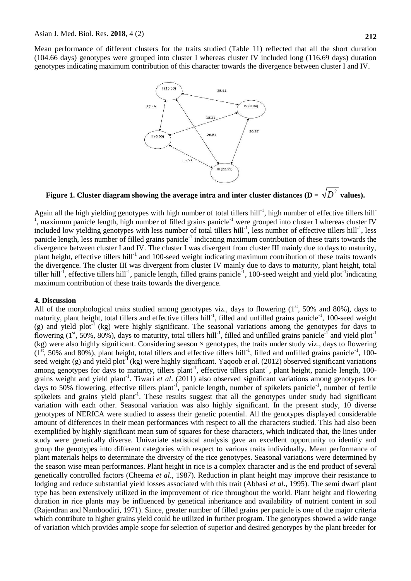Mean performance of different clusters for the traits studied (Table 11) reflected that all the short duration (104.66 days) genotypes were grouped into cluster I whereas cluster IV included long (116.69 days) duration genotypes indicating maximum contribution of this character towards the divergence between cluster I and IV.



Figure 1. Cluster diagram showing the average intra and inter cluster distances (D =  $\sqrt{D}^2$  values).

Again all the high yielding genotypes with high number of total tillers hill<sup>-1</sup>, high number of effective tillers hill<sup>-1</sup> 1 maximum panicle length, high number of filled grains panicle<sup>-1</sup> were grouped into cluster I whereas cluster IV included low yielding genotypes with less number of total tillers hill<sup>-1</sup>, less number of effective tillers hill<sup>-1</sup>, less panicle length, less number of filled grains panicle<sup>-1</sup> indicating maximum contribution of these traits towards the divergence between cluster I and IV. The cluster I was divergent from cluster III mainly due to days to maturity, plant height, effective tillers hill<sup>-1</sup> and 100-seed weight indicating maximum contribution of these traits towards the divergence. The cluster III was divergent from cluster IV mainly due to days to maturity, plant height, total tiller hill<sup>-1</sup>, effective tillers hill<sup>-1</sup>, panicle length, filled grains panicle<sup>-1</sup>, 100-seed weight and yield plot<sup>-1</sup>indicating maximum contribution of these traits towards the divergence.

### **4. Discussion**

All of the morphological traits studied among genotypes viz., days to flowering  $(1<sup>st</sup>, 50<sup>th</sup>)$  and 80%), days to maturity, plant height, total tillers and effective tillers hill<sup>-1</sup>, filled and unfilled grains panicle<sup>-1</sup>, 100-seed weight (g) and yield plot<sup>-1</sup> (kg) were highly significant. The seasonal variations among the genotypes for days to flowering ( $1<sup>st</sup>$ , 50%, 80%), days to maturity, total tillers hill<sup>-1</sup>, filled and unfilled grains panicle<sup>-1</sup> and yield plot<sup>-1</sup> (kg) were also highly significant. Considering season  $\times$  genotypes, the traits under study viz., days to flowering  $(1<sup>st</sup>, 50%$  and 80%), plant height, total tillers and effective tillers hill<sup>-1</sup>, filled and unfilled grains panicle<sup>-1</sup>, 100seed weight (g) and yield plot<sup>-1</sup> (kg) were highly significant. Yaqoob *et al.* (2012) observed significant variations among genotypes for days to maturity, tillers plant<sup>-1</sup>, effective tillers plant<sup>-1</sup>, plant height, panicle length, 100grains weight and yield plant<sup>-1</sup>. Tiwari et al. (2011) also observed significant variations among genotypes for days to 50% flowering, effective tillers plant<sup>-1</sup>, panicle length, number of spikelets panicle<sup>-1</sup>, number of fertile spikelets and grains yield plant<sup>-1</sup>. These results suggest that all the genotypes under study had significant variation with each other. Seasonal variation was also highly significant. In the present study, 10 diverse genotypes of NERICA were studied to assess their genetic potential. All the genotypes displayed considerable amount of differences in their mean performances with respect to all the characters studied. This had also been exemplified by highly significant mean sum of squares for these characters, which indicated that, the lines under study were genetically diverse. Univariate statistical analysis gave an excellent opportunity to identify and group the genotypes into different categories with respect to various traits individually. Mean performance of plant materials helps to determinate the diversity of the rice genotypes. Seasonal variations were determined by the season wise mean performances. Plant height in rice is a complex character and is the end product of several genetically controlled factors (Cheema *et al*., 1987). Reduction in plant height may improve their resistance to lodging and reduce substantial yield losses associated with this trait (Abbasi *et al*., 1995). The semi dwarf plant type has been extensively utilized in the improvement of rice throughout the world. Plant height and flowering duration in rice plants may be influenced by genetical inheritance and availability of nutrient content in soil (Rajendran and Namboodiri, 1971). Since, greater number of filled grains per panicle is one of the major criteria which contribute to higher grains yield could be utilized in further program. The genotypes showed a wide range of variation which provides ample scope for selection of superior and desired genotypes by the plant breeder for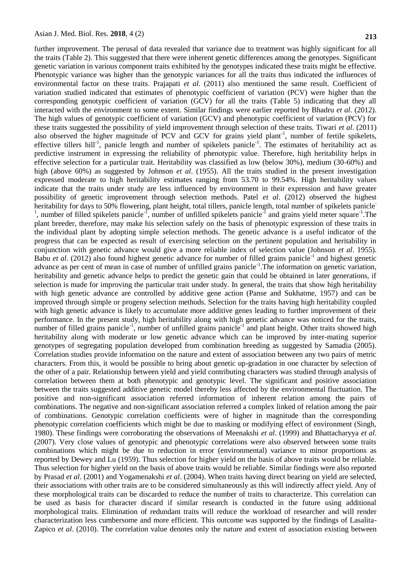further improvement. The perusal of data revealed that variance due to treatment was highly significant for all the traits (Table 2). This suggested that there were inherent genetic differences among the genotypes. Significant genetic variation in various component traits exhibited by the genotypes indicated these traits might be effective. Phenotypic variance was higher than the genotypic variances for all the traits thus indicated the influences of environmental factor on these traits. Prajapati *et al*. (2011) also mentioned the same result. Coefficient of variation studied indicated that estimates of phenotypic coefficient of variation (PCV) were higher than the corresponding genotypic coefficient of variation (GCV) for all the traits (Table 5) indicating that they all interacted with the environment to some extent. Similar findings were earlier reported by Bhadru *et al*. (2012). The high values of genotypic coefficient of variation (GCV) and phenotypic coefficient of variation (PCV) for these traits suggested the possibility of yield improvement through selection of these traits. Tiwari *et al*. (2011) also observed the higher magnitude of PCV and GCV for grains yield plant<sup>-1</sup>, number of fertile spikelets, effective tillers hill<sup>-1</sup>, panicle length and number of spikelets panicle<sup>-1</sup>. The estimates of heritability act as predictive instrument in expressing the reliability of phenotypic value. Therefore, high heritability helps in effective selection for a particular trait. Heritability was classified as low (below 30%), medium (30-60%) and high (above 60%) as suggested by Johnson *et al*. (1955). All the traits studied in the present investigation expressed moderate to high heritability estimates ranging from 53.70 to 99.54%. High heritability values indicate that the traits under study are less influenced by environment in their expression and have greater possibility of genetic improvement through selection methods. Patel *et al*. (2012) observed the highest heritability for days to 50% flowering, plant height, total tillers, panicle length, total number of spikelets panicle-<sup>1</sup>, number of filled spikelets panicle<sup>-1</sup>, number of unfilled spikelets panicle<sup>-1</sup> and grains yield meter square<sup>-1</sup>. The plant breeder, therefore, may make his selection safely on the basis of phenotypic expression of these traits in the individual plant by adopting simple selection methods. The genetic advance is a useful indicator of the progress that can be expected as result of exercising selection on the pertinent population and heritability in conjunction with genetic advance would give a more reliable index of selection value (Johnson *et al*. 1955). Babu *et al.* (2012) also found highest genetic advance for number of filled grains panicle<sup>-1</sup> and highest genetic advance as per cent of mean in case of number of unfilled grains panicle<sup>-1</sup>. The information on genetic variation, heritability and genetic advance helps to predict the genetic gain that could be obtained in later generations, if selection is made for improving the particular trait under study. In general, the traits that show high heritability with high genetic advance are controlled by additive gene action (Panse and Sukhatme, 1957) and can be improved through simple or progeny selection methods. Selection for the traits having high heritability coupled with high genetic advance is likely to accumulate more additive genes leading to further improvement of their performance. In the present study, high heritability along with high genetic advance was noticed for the traits, number of filled grains panicle<sup>-1</sup>, number of unfilled grains panicle<sup>-1</sup> and plant height. Other traits showed high heritability along with moderate or low genetic advance which can be improved by inter-mating superior genotypes of segregating population developed from combination breeding as suggested by Samadia (2005). Correlation studies provide information on the nature and extent of association between any two pairs of metric characters. From this, it would be possible to bring about genetic up-gradation in one character by selection of the other of a pair. Relationship between yield and yield contributing characters was studied through analysis of correlation between them at both phenotypic and genotypic level. The significant and positive association between the traits suggested additive genetic model thereby less affected by the environmental fluctuation. The positive and non-significant association referred information of inherent relation among the pairs of combinations. The negative and non-significant association referred a complex linked of relation among the pair of combinations. Genotypic correlation coefficients were of higher in magnitude than the corresponding phenotypic correlation coefficients which might be due to masking or modifying effect of environment (Singh, 1980). These findings were corroborating the observations of Meenakshi *et al*. (1999) and Bhattacharyya *et al*. (2007). Very close values of genotypic and phenotypic correlations were also observed between some traits combinations which might be due to reduction in error (environmental) variance to minor proportions as reported by Dewey and Lu (1959). Thus selection for higher yield on the basis of above traits would be reliable. Thus selection for higher yield on the basis of above traits would be reliable. Similar findings were also reported by Prasad *et al*. (2001) and Yogamenakshi *et al*. (2004). When traits having direct bearing on yield are selected, their associations with other traits are to be considered simultaneously as this will indirectly affect yield. Any of these morphological traits can be discarded to reduce the number of traits to characterize. This correlation can be used as basis for character discard if similar research is conducted in the future using additional morphological traits. Elimination of redundant traits will reduce the workload of researcher and will render characterization less cumbersome and more efficient. This outcome was supported by the findings of Lasalita-Zapico *et al*. (2010). The correlation value denotes only the nature and extent of association existing between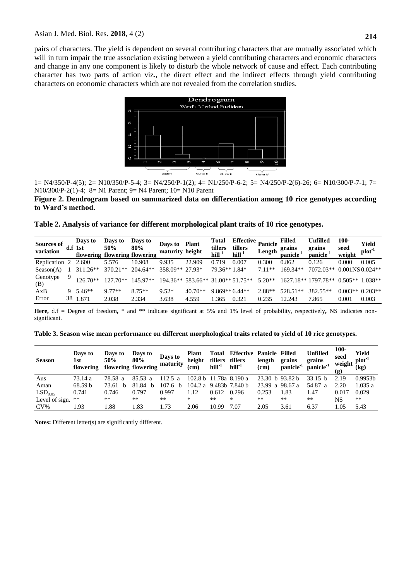pairs of characters. The yield is dependent on several contributing characters that are mutually associated which will in turn impair the true association existing between a yield contributing characters and economic characters and change in any one component is likely to disturb the whole network of cause and effect. Each contributing character has two parts of action viz., the direct effect and the indirect effects through yield contributing characters on economic characters which are not revealed from the correlation studies.



1= N4/350/P-4(5); 2= N10/350/P-5-4; 3= N4/250/P-1(2); 4= N1/250/P-6-2; 5= N4/250/P-2(6)-26; 6= N10/300/P-7-1; 7= N10/300/P-2(1)-4; 8= N1 Parent; 9= N4 Parent; 10= N10 Parent

**Figure 2. Dendrogram based on summarized data on differentiation among 10 rice genotypes according to Ward's method.**

**Table 2. Analysis of variance for different morphological plant traits of 10 rice genotypes.**

| <b>Sources of</b><br>variation |    | Days to<br>d.f 1st<br>flowering flowering flowering | Days to<br>50% | Days to<br>80% | Days to<br>maturity height | <b>Plant</b>             | <b>Total</b><br>tillers<br>hill <sup>-1</sup> | <b>Effective</b><br>tillers<br>hill <sup>-1</sup> | Panicle<br>Length | Filled<br>grains<br>panicle <sup>-1</sup> | <b>Unfilled</b><br>grains<br>panicle <sup>-1</sup> | 100-<br>seed<br>weight | Yield<br>plot <sup>-1</sup> |
|--------------------------------|----|-----------------------------------------------------|----------------|----------------|----------------------------|--------------------------|-----------------------------------------------|---------------------------------------------------|-------------------|-------------------------------------------|----------------------------------------------------|------------------------|-----------------------------|
| Replication 2                  |    | 2.600                                               | 5.576          | 10.908         | 9.935                      | 22.909                   | 0.719                                         | 0.007                                             | 0.300             | 0.862                                     | 0.126                                              | 0.000                  | 0.005                       |
| Season(A)                      |    | $311.26**$                                          | $370.21**$     | $204.64**$     | 358.09**                   | 27.93*                   | 79.36**1.84*                                  |                                                   | $711**$           | $169.34**$                                | 7072.03**                                          | $0.001$ NS $0.024**$   |                             |
| Genotype<br>(B)                |    | $126.70**$                                          | $12770**$      | $145.97**$     | $194.36**$                 | 583.66** 31.00** 51.75** |                                               |                                                   | $5.20**$          |                                           | 1627.18** 1797.78**                                | $0.505**$              | 1.038**                     |
| AxB                            | 9. | $5.46**$                                            | $9.77**$       | $8.75**$       | $9.52*$                    | 40.70**                  | $9.869**6.44**$                               |                                                   | $2.88**$          | 528.51**                                  | 382.55**                                           | $0.003**0.203**$       |                             |
| Error                          | 38 | 1.871                                               | 2.038          | 2.334          | 3.638                      | 4.559                    | .365                                          | 0.321                                             | 0.235             | 12.243                                    | 7.865                                              | 0.001                  | 0.003                       |

**Here,** d.f = Degree of freedom**,** \* and \*\* indicate significant at 5% and 1% level of probability, respectively**,** NS indicates nonsignificant.

| Table 3. Season wise mean performance on different morphological traits related to yield of 10 rice genotypes. |  |
|----------------------------------------------------------------------------------------------------------------|--|
|----------------------------------------------------------------------------------------------------------------|--|

| <b>Season</b>       | Days to<br>1st<br>flowering | Days to<br>50% | Days to<br>80%<br>flowering flowering | Days to<br>maturity | Plant<br>height<br>(cm) | Total<br>tillers<br>$hill-1$ | <b>Effective Panicle Filled</b><br>tillers<br>$hill-1$ | length<br>(cm)    | grains<br>panicle <sup>-1</sup> | <b>Unfilled</b><br>grains<br>$panicle-1$ | $100 -$<br>seed<br>weight<br>(g) | Yield<br>$plot-1$<br>(kg) |
|---------------------|-----------------------------|----------------|---------------------------------------|---------------------|-------------------------|------------------------------|--------------------------------------------------------|-------------------|---------------------------------|------------------------------------------|----------------------------------|---------------------------|
| Aus                 | 73.14 a                     | 78.58 a        | 85.53a                                | 112.5 a             |                         |                              | 102.8 b 11.78a 8.190 a                                 | $23.30 h$ 93.82 h |                                 | 33.15 <sub>b</sub>                       | 2.19                             | 0.9953 <sub>b</sub>       |
| Aman                | 68.59 b                     | 73.61          | 81.84                                 | 107.6 b             | 104.2 a                 |                              | 9.483b 7.840 b                                         | 23.99             | a 98.67 a                       | 54.87<br>- a                             | 2.20                             | 1.035a                    |
| LSD <sub>0.05</sub> | 0.741                       | 0.746          | 0.797                                 | 0.997               | 1.12                    | 0.612                        | 0.296                                                  | 0.253             | L.83                            | 1.47                                     | 0.017                            | 0.029                     |
| Level of sign.      | **                          | **             | $***$                                 | $***$               | *                       | $***$                        | $\ast$                                                 | $***$             | **                              | **                                       | NS                               | **                        |
| $CV\%$              | l 93                        | .88            | l.83                                  | .73                 | 2.06                    | 10.99                        | 7.07                                                   | 2.05              | 3.61                            | 6.37                                     | 1.05                             | 5.43                      |

**Notes:** Different letter(s) are significantly different.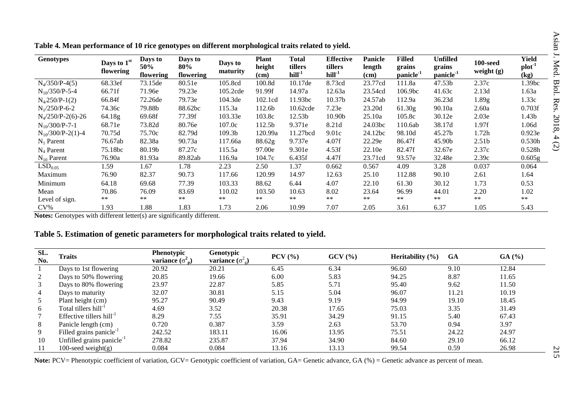| radie 'n mean performance of ro rice genotypes on anterent morphological transferance to field. |                          |                             |                             |                     |                                |                                     |                                         |                                  |                                                  |                                             |                                 |                                     |
|-------------------------------------------------------------------------------------------------|--------------------------|-----------------------------|-----------------------------|---------------------|--------------------------------|-------------------------------------|-----------------------------------------|----------------------------------|--------------------------------------------------|---------------------------------------------|---------------------------------|-------------------------------------|
| <b>Genotypes</b>                                                                                | Days to 1st<br>flowering | Days to<br>50%<br>flowering | Days to<br>80%<br>flowering | Days to<br>maturity | <b>Plant</b><br>height<br>(cm) | <b>Total</b><br>tillers<br>$hill-1$ | <b>Effective</b><br>tillers<br>$hill-1$ | <b>Panicle</b><br>length<br>(cm) | <b>Filled</b><br>grains<br>panicle <sup>-1</sup> | Unfilled<br>grains<br>panicle <sup>-1</sup> | <b>100-seed</b><br>weight $(g)$ | Yield<br>plot <sup>-1</sup><br>(kg) |
| $N_4/350/P-4(5)$                                                                                | 68.33ef                  | 73.15de                     | 80.51e                      | 105.8cd             | 100.8d                         | 10.17de                             | 8.73cd                                  | 23.77cd                          | 111.8a                                           | 47.53b                                      | 2.37c                           | 1.39bc                              |
| $N_{10}/350/P-5-4$                                                                              | 66.71f                   | 71.96e                      | 79.23e                      | 105.2cde            | 91.99f                         | 14.97a                              | 12.63a                                  | 23.54cd                          | 106.9bc                                          | 41.63c                                      | 2.13d                           | 1.63a                               |
| $N_4$ /250/P-1(2)                                                                               | 66.84f                   | 72.26de                     | 79.73e                      | 104.3de             | 102.1cd                        | 11.93bc                             | 10.37b                                  | 24.57ab                          | 112.9a                                           | 36.23d                                      | 1.89g                           | 1.33c                               |
| $N_1/250/P-6-2$                                                                                 | 74.36c                   | 79.88b                      | 88.62bc                     | 115.3a              | 112.6b                         | 10.62cde                            | 7.23e                                   | 23.20d                           | 61.30 <sub>g</sub>                               | 90.10a                                      | 2.60a                           | 0.703f                              |
| $N_4/250/P-2(6)-26$                                                                             | 64.18g                   | 69.68f                      | 77.39f                      | 103.33e             | 103.8c                         | 12.53b                              | 10.90b                                  | 25.10a                           | 105.8c                                           | 30.12e                                      | 2.03e                           | 1.43b                               |
| $N_{10}/300/P$ -7-1                                                                             | 68.71e                   | 73.82d                      | 80.76e                      | 107.0c              | 112.5b                         | 9.371e                              | 8.21d                                   | 24.03bc                          | 110.6ab                                          | 38.17d                                      | 1.97f                           | 1.06d                               |
| $N_{10}/300/P-2(1)-4$                                                                           | 70.75d                   | 75.70c                      | 82.79d                      | 109.3 <sub>b</sub>  | 120.99a                        | 11.27bcd                            | 9.01c                                   | 24.12bc                          | 98.10d                                           | 45.27b                                      | 1.72h                           | 0.923e                              |
| $N_1$ Parent                                                                                    | 76.67ab                  | 82.38a                      | 90.73a                      | 117.66a             | 88.62g                         | 9.737e                              | 4.07f                                   | 22.29e                           | 86.47f                                           | 45.90b                                      | 2.51 <sub>b</sub>               | 0.530h                              |
| $N_4$ Parent                                                                                    | 75.18bc                  | 80.19b                      | 87.27c                      | 115.5a              | 97.00e                         | 9.301e                              | 4.53f                                   | 22.10e                           | 82.47f                                           | 32.67e                                      | 2.37c                           | 0.528h                              |
| $N_{10}$ Parent                                                                                 | 76.90a                   | 81.93a                      | 89.82ab                     | 116.9a              | 104.7c                         | 6.435f                              | 4.47f                                   | 23.71cd                          | 93.57e                                           | 32.48e                                      | 2.39c                           | 0.605g                              |
| LSD <sub>0.05</sub>                                                                             | 1.59                     | 1.67                        | 1.78                        | 2.23                | 2.50                           | 1.37                                | 0.662                                   | 0.567                            | 4.09                                             | 3.28                                        | 0.037                           | 0.064                               |
| Maximum                                                                                         | 76.90                    | 82.37                       | 90.73                       | 117.66              | 120.99                         | 14.97                               | 12.63                                   | 25.10                            | 112.88                                           | 90.10                                       | 2.61                            | 1.64                                |
| Minimum                                                                                         | 64.18                    | 69.68                       | 77.39                       | 103.33              | 88.62                          | 6.44                                | 4.07                                    | 22.10                            | 61.30                                            | 30.12                                       | 1.73                            | 0.53                                |
| Mean                                                                                            | 70.86                    | 76.09                       | 83.69                       | 110.02              | 103.50                         | 10.63                               | 8.02                                    | 23.64                            | 96.99                                            | 44.01                                       | 2.20                            | 1.02                                |
| Level of sign.                                                                                  | $***$                    | $***$                       | **                          | $**$                | $***$                          | $***$                               | $***$                                   | $***$                            | $***$                                            | $***$                                       | $***$                           | $\ast\ast$                          |
| $CV\%$                                                                                          | 1.93                     | l.88                        | 1.83                        | 1.73                | 2.06                           | 10.99                               | 7.07                                    | 2.05                             | 3.61                                             | 6.37                                        | 1.05                            | 5.43                                |

**Table 4. Mean performance of 10 rice genotypes on different morphological traits related to yield.** 

**Notes:** Genotypes with different letter(s) are significantly different.

# **Table 5. Estimation of genetic parameters for morphological traits related to yield.**

| SL.<br>No. | <b>Traits</b>                         | <b>Phenotypic</b><br>variance $(\sigma_{p}^{2})$ | Genotypic<br>variance $(\sigma_{g}^{2})$ | $PCV$ $(\frac{9}{6})$ | GCV(%) | Heritability $(\% )$ | <b>GA</b> | GA(%) |
|------------|---------------------------------------|--------------------------------------------------|------------------------------------------|-----------------------|--------|----------------------|-----------|-------|
|            |                                       |                                                  |                                          |                       |        |                      |           |       |
|            | Days to 1st flowering                 | 20.92                                            | 20.21                                    | 6.45                  | 6.34   | 96.60                | 9.10      | 12.84 |
|            | Days to 50% flowering                 | 20.85                                            | 19.66                                    | 6.00                  | 5.83   | 94.25                | 8.87      | 11.65 |
|            | Days to 80% flowering                 | 23.97                                            | 22.87                                    | 5.85                  | 5.71   | 95.40                | 9.62      | 11.50 |
| 4          | Days to maturity                      | 32.07                                            | 30.81                                    | 5.15                  | 5.04   | 96.07                | 11.21     | 10.19 |
|            | Plant height (cm)                     | 95.27                                            | 90.49                                    | 9.43                  | 9.19   | 94.99                | 19.10     | 18.45 |
| 6          | Total tillers hill <sup>-1</sup>      | 4.69                                             | 3.52                                     | 20.38                 | 17.65  | 75.03                | 3.35      | 31.49 |
|            | Effective tillers $hill^{-1}$         | 8.29                                             | 7.55                                     | 35.91                 | 34.29  | 91.15                | 5.40      | 67.43 |
| 8          | Panicle length (cm)                   | 0.720                                            | 0.387                                    | 3.59                  | 2.63   | 53.70                | 0.94      | 3.97  |
| 9          | Filled grains panicle <sup>-1</sup>   | 242.52                                           | 183.11                                   | 16.06                 | 13.95  | 75.51                | 24.22     | 24.97 |
| 10         | Unfilled grains panicle <sup>-1</sup> | 278.82                                           | 235.87                                   | 37.94                 | 34.90  | 84.60                | 29.10     | 66.12 |
|            | 100-seed weight $(g)$                 | 0.084                                            | 0.084                                    | 13.16                 | 13.13  | 99.54                | 0.59      | 26.98 |

Note: PCV= Phenotypic coefficient of variation, GCV= Genotypic coefficient of variation, GA= Genetic advance, GA (%) = Genetic advance as percent of mean.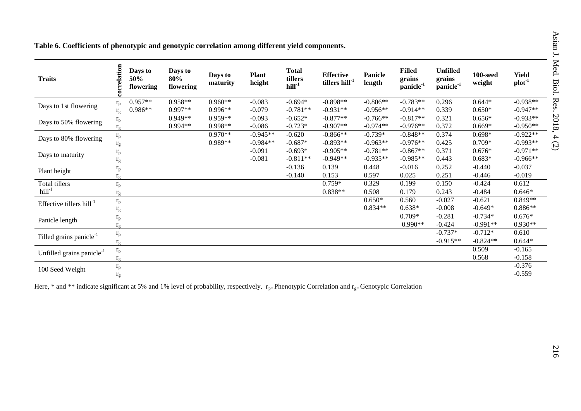|  |  | Table 6. Coefficients of phenotypic and genotypic correlation among different yield components. |  |
|--|--|-------------------------------------------------------------------------------------------------|--|
|  |  |                                                                                                 |  |

| <b>Traits</b>                         | correlation             | Days to<br>50%<br>flowering | Days to<br>80%<br>flowering | Days to<br>maturity | <b>Plant</b><br>height | <b>Total</b><br>tillers<br>$hill-1$ | <b>Effective</b><br>tillers hill <sup>-1</sup> | Panicle<br>length | <b>Filled</b><br>grains<br>panicle <sup>-1</sup> | <b>Unfilled</b><br>grains<br>panicle <sup>-1</sup> | $100$ -seed<br>weight | <b>Yield</b><br>plot <sup>1</sup> |
|---------------------------------------|-------------------------|-----------------------------|-----------------------------|---------------------|------------------------|-------------------------------------|------------------------------------------------|-------------------|--------------------------------------------------|----------------------------------------------------|-----------------------|-----------------------------------|
| Days to 1st flowering                 | $r_{\rm p}$             | $0.957**$                   | 0.958**                     | $0.960**$           | $-0.083$               | $-0.694*$                           | $-0.898**$                                     | $-0.806**$        | $-0.783**$                                       | 0.296                                              | $0.644*$              | $-0.938**$                        |
|                                       | $r_{\sigma}$            | 0.986**                     | $0.997**$                   | $0.996**$           | $-0.079$               | $-0.781**$                          | $-0.931**$                                     | $-0.956**$        | $-0.914**$                                       | 0.339                                              | $0.650*$              | $-0.947**$                        |
| Days to 50% flowering                 | $\rm r_p$               |                             | $0.949**$                   | $0.959**$           | $-0.093$               | $-0.652*$                           | $-0.877**$                                     | $-0.766**$        | $-0.817**$                                       | 0.321                                              | $0.656*$              | $-0.933**$                        |
|                                       | $r_{\circ}$             |                             | 0.994**                     | $0.998**$           | $-0.086$               | $-0.723*$                           | $-0.907**$                                     | $-0.974**$        | $-0.976**$                                       | 0.372                                              | $0.669*$              | $-0.950**$                        |
| Days to 80% flowering                 | $\rm r_p$               |                             |                             | $0.970**$           | $-0.945**$             | $-0.620$                            | $-0.866**$                                     | $-0.739*$         | $-0.848**$                                       | 0.374                                              | $0.698*$              | $-0.922**$                        |
|                                       | $r_{\sigma}$            |                             |                             | $0.989**$           | $-0.984**$             | $-0.687*$                           | $-0.893**$                                     | $-0.963**$        | $-0.976**$                                       | 0.425                                              | $0.709*$              | $-0.993**$                        |
|                                       | $\rm r_p$               |                             |                             |                     | $-0.091$               | $-0.693*$                           | $-0.905**$                                     | $-0.781**$        | $-0.867**$                                       | 0.371                                              | $0.676*$              | $-0.971**$                        |
| Days to maturity                      | $r_{\sigma}$            |                             |                             |                     | $-0.081$               | $-0.811**$                          | $-0.949**$                                     | $-0.935**$        | $-0.985**$                                       | 0.443                                              | $0.683*$              | $-0.966**$                        |
|                                       | $r_{p}$                 |                             |                             |                     |                        | $-0.136$                            | 0.139                                          | 0.448             | $-0.016$                                         | 0.252                                              | $-0.440$              | $-0.037$                          |
| Plant height                          | $r_{\sigma}$            |                             |                             |                     |                        | $-0.140$                            | 0.153                                          | 0.597             | 0.025                                            | 0.251                                              | $-0.446$              | $-0.019$                          |
| Total tillers                         | $r_{p}$                 |                             |                             |                     |                        |                                     | $0.759*$                                       | 0.329             | 0.199                                            | 0.150                                              | $-0.424$              | 0.612                             |
| $hill-1$                              | $r_{\sigma}$            |                             |                             |                     |                        |                                     | $0.838**$                                      | 0.508             | 0.179                                            | 0.243                                              | $-0.484$              | $0.646*$                          |
| Effective tillers hill <sup>-1</sup>  | $\rm r_p$               |                             |                             |                     |                        |                                     |                                                | $0.650*$          | 0.560                                            | $-0.027$                                           | $-0.621$              | $0.849**$                         |
|                                       | $r_{\circ}$             |                             |                             |                     |                        |                                     |                                                | $0.834**$         | $0.638*$                                         | $-0.008$                                           | $-0.649*$             | $0.886**$                         |
|                                       | $r_{\rm p}$             |                             |                             |                     |                        |                                     |                                                |                   | $0.709*$                                         | $-0.281$                                           | $-0.734*$             | $0.676*$                          |
| Panicle length                        | $r_{\sigma}$            |                             |                             |                     |                        |                                     |                                                |                   | 0.990**                                          | $-0.424$                                           | $-0.991**$            | $0.930**$                         |
|                                       | $\rm r_p$               |                             |                             |                     |                        |                                     |                                                |                   |                                                  | $-0.737*$                                          | $-0.712*$             | 0.610                             |
| Filled grains panicle <sup>-1</sup>   | $r_{\rm g}$             |                             |                             |                     |                        |                                     |                                                |                   |                                                  | $-0.915**$                                         | $-0.824**$            | $0.644*$                          |
|                                       | $\mathbf{r}_\mathrm{p}$ |                             |                             |                     |                        |                                     |                                                |                   |                                                  |                                                    | 0.509                 | $-0.165$                          |
| Unfilled grains panicle <sup>-1</sup> | $r_{\sigma}$            |                             |                             |                     |                        |                                     |                                                |                   |                                                  |                                                    | 0.568                 | $-0.158$                          |
|                                       | $\rm r_p$               |                             |                             |                     |                        |                                     |                                                |                   |                                                  |                                                    |                       | $-0.376$                          |
| 100 Seed Weight                       | $r_{\sigma}$            |                             |                             |                     |                        |                                     |                                                |                   |                                                  |                                                    |                       | $-0.559$                          |

Here, \* and \*\* indicate significant at 5% and 1% level of probability, respectively.  $r_{p=}$  Phenotypic Correlation and  $r_{g=}$  Genotypic Correlation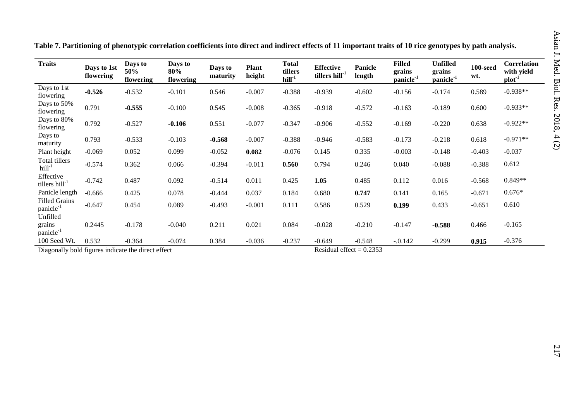| <b>Traits</b>                                      | Days to 1st<br>flowering | Days to<br>50%<br>flowering | Days to<br>80%<br>flowering | Days to<br>maturity | <b>Plant</b><br>height | <b>Total</b><br>tillers<br>$hill-1$ | <b>Effective</b><br>tillers hill <sup>-1</sup> | <b>Panicle</b><br>length | <b>Filled</b><br>grains<br>panicle <sup>-1</sup> | <b>Unfilled</b><br>grains<br>panicle <sup>-1</sup> | $100$ -seed<br>wt. | Correlation<br>with yield<br>$plot-1$ |
|----------------------------------------------------|--------------------------|-----------------------------|-----------------------------|---------------------|------------------------|-------------------------------------|------------------------------------------------|--------------------------|--------------------------------------------------|----------------------------------------------------|--------------------|---------------------------------------|
| Days to 1st<br>flowering                           | $-0.526$                 | $-0.532$                    | $-0.101$                    | 0.546               | $-0.007$               | $-0.388$                            | $-0.939$                                       | $-0.602$                 | $-0.156$                                         | $-0.174$                                           | 0.589              | $-0.938**$                            |
| Days to 50%<br>flowering                           | 0.791                    | $-0.555$                    | $-0.100$                    | 0.545               | $-0.008$               | $-0.365$                            | $-0.918$                                       | $-0.572$                 | $-0.163$                                         | $-0.189$                                           | 0.600              | $-0.933**$                            |
| Days to 80%<br>flowering                           | 0.792                    | $-0.527$                    | $-0.106$                    | 0.551               | $-0.077$               | $-0.347$                            | $-0.906$                                       | $-0.552$                 | $-0.169$                                         | $-0.220$                                           | 0.638              | $-0.922**$                            |
| Days to<br>maturity                                | 0.793                    | $-0.533$                    | $-0.103$                    | $-0.568$            | $-0.007$               | $-0.388$                            | $-0.946$                                       | $-0.583$                 | $-0.173$                                         | $-0.218$                                           | 0.618              | $-0.971**$                            |
| Plant height                                       | $-0.069$                 | 0.052                       | 0.099                       | $-0.052$            | 0.082                  | $-0.076$                            | 0.145                                          | 0.335                    | $-0.003$                                         | $-0.148$                                           | $-0.403$           | $-0.037$                              |
| Total tillers<br>$hill-1$                          | $-0.574$                 | 0.362                       | 0.066                       | $-0.394$            | $-0.011$               | 0.560                               | 0.794                                          | 0.246                    | 0.040                                            | $-0.088$                                           | $-0.388$           | 0.612                                 |
| Effective<br>tillers hill <sup>-1</sup>            | $-0.742$                 | 0.487                       | 0.092                       | $-0.514$            | 0.011                  | 0.425                               | 1.05                                           | 0.485                    | 0.112                                            | 0.016                                              | $-0.568$           | $0.849**$                             |
| Panicle length                                     | $-0.666$                 | 0.425                       | 0.078                       | $-0.444$            | 0.037                  | 0.184                               | 0.680                                          | 0.747                    | 0.141                                            | 0.165                                              | $-0.671$           | $0.676*$                              |
| <b>Filled Grains</b><br>panicle <sup>-1</sup>      | $-0.647$                 | 0.454                       | 0.089                       | $-0.493$            | $-0.001$               | 0.111                               | 0.586                                          | 0.529                    | 0.199                                            | 0.433                                              | $-0.651$           | 0.610                                 |
| Unfilled<br>grains<br>panicle <sup>-1</sup>        | 0.2445                   | $-0.178$                    | $-0.040$                    | 0.211               | 0.021                  | 0.084                               | $-0.028$                                       | $-0.210$                 | $-0.147$                                         | $-0.588$                                           | 0.466              | $-0.165$                              |
| 100 Seed Wt.                                       | 0.532                    | $-0.364$                    | $-0.074$                    | 0.384               | $-0.036$               | $-0.237$                            | $-0.649$                                       | $-0.548$                 | $-.0.142$                                        | $-0.299$                                           | 0.915              | $-0.376$                              |
| Diagonally bold figures indicate the direct effect |                          |                             |                             |                     |                        |                                     | Residual effect = $0.2353$                     |                          |                                                  |                                                    |                    |                                       |

**Table 7. Partitioning of phenotypic correlation coefficients into direct and indirect effects of 11 important traits of 10 rice genotypes by path analysis.**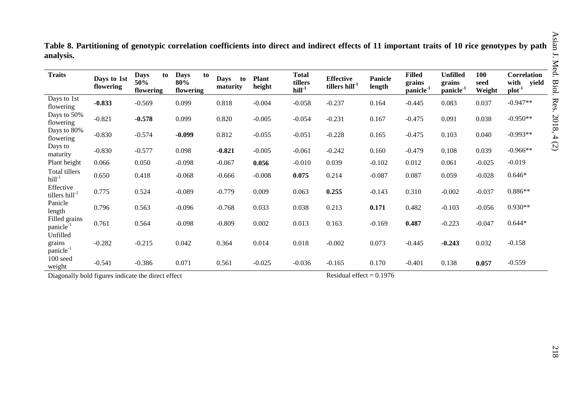| <b>Traits</b>                               | Days to 1st<br>flowering | <b>Days</b><br>to<br>50%<br>flowering | <b>Days</b><br>to<br>80%<br>flowering | <b>Days</b><br>to<br>maturity | <b>Plant</b><br>height | <b>Total</b><br>tillers<br>$hill-1$ | <b>Effective</b><br>tillers hill <sup>-1</sup> | Panicle<br>length | <b>Filled</b><br>grains<br>panicle <sup>-1</sup> | <b>Unfilled</b><br>grains<br>panicle <sup>-1</sup> | 100<br>seed<br>Weight | <b>Correlation</b><br>with<br>yield<br>$plot-1$ |
|---------------------------------------------|--------------------------|---------------------------------------|---------------------------------------|-------------------------------|------------------------|-------------------------------------|------------------------------------------------|-------------------|--------------------------------------------------|----------------------------------------------------|-----------------------|-------------------------------------------------|
| Days to 1st<br>flowering                    | $-0.833$                 | $-0.569$                              | 0.099                                 | 0.818                         | $-0.004$               | $-0.058$                            | $-0.237$                                       | 0.164             | $-0.445$                                         | 0.083                                              | 0.037                 | $-0.947**$                                      |
| Days to 50%<br>flowering                    | $-0.821$                 | $-0.578$                              | 0.099                                 | 0.820                         | $-0.005$               | $-0.054$                            | $-0.231$                                       | 0.167             | $-0.475$                                         | 0.091                                              | 0.038                 | $-0.950**$                                      |
| Days to 80%<br>flowering                    | $-0.830$                 | $-0.574$                              | $-0.099$                              | 0.812                         | $-0.055$               | $-0.051$                            | $-0.228$                                       | 0.165             | $-0.475$                                         | 0.103                                              | 0.040                 | $-0.993**$                                      |
| Days to<br>maturity                         | $-0.830$                 | $-0.577$                              | 0.098                                 | $-0.821$                      | $-0.005$               | $-0.061$                            | $-0.242$                                       | 0.160             | $-0.479$                                         | 0.108                                              | 0.039                 | $-0.966**$                                      |
| Plant height                                | 0.066                    | 0.050                                 | $-0.098$                              | $-0.067$                      | 0.056                  | $-0.010$                            | 0.039                                          | $-0.102$          | 0.012                                            | 0.061                                              | $-0.025$              | $-0.019$                                        |
| Total tillers<br>$hill-1$                   | 0.650                    | 0.418                                 | $-0.068$                              | $-0.666$                      | $-0.008$               | 0.075                               | 0.214                                          | $-0.087$          | 0.087                                            | 0.059                                              | $-0.028$              | $0.646*$                                        |
| Effective<br>tillers hill <sup>-1</sup>     | 0.775                    | 0.524                                 | $-0.089$                              | $-0.779$                      | 0.009                  | 0.063                               | 0.255                                          | $-0.143$          | 0.310                                            | $-0.002$                                           | $-0.037$              | $0.886**$                                       |
| Panicle<br>length                           | 0.796                    | 0.563                                 | $-0.096$                              | $-0.768$                      | 0.033                  | 0.038                               | 0.213                                          | 0.171             | 0.482                                            | $-0.103$                                           | $-0.056$              | $0.930**$                                       |
| Filled grains<br>panicle <sup>-1</sup>      | 0.761                    | 0.564                                 | $-0.098$                              | $-0.809$                      | 0.002                  | 0.013                               | 0.163                                          | $-0.169$          | 0.487                                            | $-0.223$                                           | $-0.047$              | $0.644*$                                        |
| Unfilled<br>grains<br>panicle <sup>-1</sup> | $-0.282$                 | $-0.215$                              | 0.042                                 | 0.364                         | 0.014                  | 0.018                               | $-0.002$                                       | 0.073             | $-0.445$                                         | $-0.243$                                           | 0.032                 | $-0.158$                                        |
| 100 seed<br>weight                          | $-0.541$                 | $-0.386$                              | 0.071                                 | 0.561                         | $-0.025$               | $-0.036$                            | $-0.165$                                       | 0.170             | $-0.401$                                         | 0.138                                              | 0.057                 | $-0.559$                                        |

**Table 8. Partitioning of genotypic correlation coefficients into direct and indirect effects of 11 important traits of 10 rice genotypes by path analysis.**

Diagonally bold figures indicate the direct effect Residual effect = 0.1976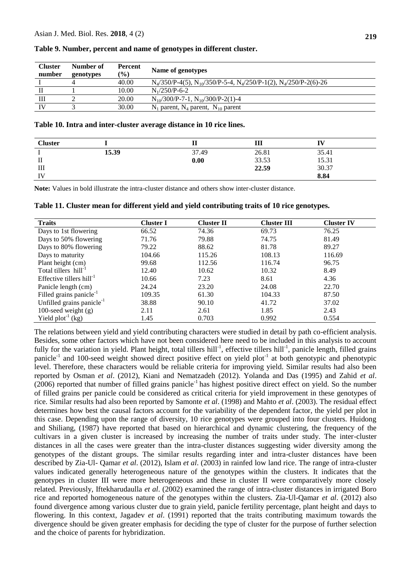| <b>Cluster</b><br>number | Number of<br>genotypes | Percent<br>$(\%)$ | Name of genotypes                                                              |
|--------------------------|------------------------|-------------------|--------------------------------------------------------------------------------|
|                          | 4                      | 40.00             | $N_4/350/P-4(5)$ , $N_{10}/350/P-5-4$ , $N_4/250/P-1(2)$ , $N_4/250/P-2(6)-26$ |
|                          |                        | 10.00             | $N_1/250/P-6-2$                                                                |
| Ш                        |                        | 20.00             | $N_{10}/300/P$ -7-1, $N_{10}/300/P$ -2(1)-4                                    |
| IV                       |                        | 30.00             | $N_1$ parent, $N_4$ parent, $N_{10}$ parent                                    |

### **Table 9. Number, percent and name of genotypes in different cluster.**

#### **Table 10. Intra and inter-cluster average distance in 10 rice lines.**

| <b>Cluster</b> |       |       | Ш     |       |  |
|----------------|-------|-------|-------|-------|--|
|                | 15.39 | 37.49 | 26.81 | 35.41 |  |
| П              |       | 0.00  | 33.53 | 15.31 |  |
| Ш              |       |       | 22.59 | 30.37 |  |
| IV             |       |       |       | 8.84  |  |

**Note:** Values in bold illustrate the intra-cluster distance and others show inter-cluster distance.

**Table 11. Cluster mean for different yield and yield contributing traits of 10 rice genotypes.**

| <b>Traits</b>                       | <b>Cluster I</b> | <b>Cluster II</b> | <b>Cluster III</b> | <b>Cluster IV</b> |
|-------------------------------------|------------------|-------------------|--------------------|-------------------|
| Days to 1st flowering               | 66.52            | 74.36             | 69.73              | 76.25             |
| Days to 50% flowering               | 71.76            | 79.88             | 74.75              | 81.49             |
| Days to 80% flowering               | 79.22            | 88.62             | 81.78              | 89.27             |
| Days to maturity                    | 104.66           | 115.26            | 108.13             | 116.69            |
| Plant height (cm)                   | 99.68            | 112.56            | 116.74             | 96.75             |
| Total tillers hill <sup>-1</sup>    | 12.40            | 10.62             | 10.32              | 8.49              |
| Effective tillers $hill^{-1}$       | 10.66            | 7.23              | 8.61               | 4.36              |
| Panicle length (cm)                 | 24.24            | 23.20             | 24.08              | 22.70             |
| Filled grains panicle <sup>-1</sup> | 109.35           | 61.30             | 104.33             | 87.50             |
| Unfilled grains panicle $^{-1}$     | 38.88            | 90.10             | 41.72              | 37.02             |
| 100-seed weight $(g)$               | 2.11             | 2.61              | 1.85               | 2.43              |
| Yield $plot^{-1}$ (kg)              | 1.45             | 0.703             | 0.992              | 0.554             |

The relations between yield and yield contributing characters were studied in detail by path co-efficient analysis. Besides, some other factors which have not been considered here need to be included in this analysis to account fully for the variation in yield. Plant height, total tillers hill<sup>-1</sup>, effective tillers hill<sup>-1</sup>, panicle length, filled grains panicle<sup>-1</sup> and 100-seed weight showed direct positive effect on yield plot<sup>-1</sup> at both genotypic and phenotypic level. Therefore, these characters would be reliable criteria for improving yield. Similar results had also been reported by Osman *et al*. (2012), Kiani and Nematzadeh (2012). Yolanda and Das (1995) and Zahid *et al*.  $(2006)$  reported that number of filled grains panicle<sup>-1</sup> has highest positive direct effect on yield. So the number of filled grains per panicle could be considered as critical criteria for yield improvement in these genotypes of rice. Similar results had also been reported by Samonte *et al*. (1998) and Mahto *et al*. (2003). The residual effect determines how best the causal factors account for the variability of the dependent factor, the yield per plot in this case. Depending upon the range of diversity, 10 rice genotypes were grouped into four clusters. Huidong and Shiliang, (1987) have reported that based on hierarchical and dynamic clustering, the frequency of the cultivars in a given cluster is increased by increasing the number of traits under study. The inter-cluster distances in all the cases were greater than the intra-cluster distances suggesting wider diversity among the genotypes of the distant groups. The similar results regarding inter and intra-cluster distances have been described by Zia-Ul- Qamar *et al*. (2012), Islam *et al*. (2003) in rainfed low land rice. The range of intra-cluster values indicated generally heterogeneous nature of the genotypes within the clusters. It indicates that the genotypes in cluster III were more heterogeneous and these in cluster II were comparatively more closely related. Previously, Iftekharudaulla *et al*. (2002) examined the range of intra-cluster distances in irrigated Boro rice and reported homogeneous nature of the genotypes within the clusters. Zia-Ul-Qamar *et al*. (2012) also found divergence among various cluster due to grain yield, panicle fertility percentage, plant height and days to flowering. In this context, Jagadev *et al*. (1991) reported that the traits contributing maximum towards the divergence should be given greater emphasis for deciding the type of cluster for the purpose of further selection and the choice of parents for hybridization.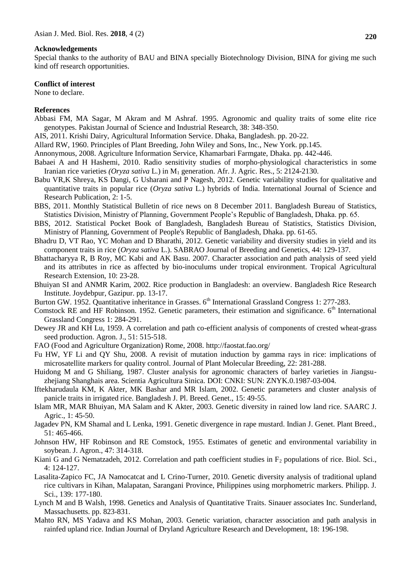### **Acknowledgements**

Special thanks to the authority of BAU and BINA specially Biotechnology Division, BINA for giving me such kind off research opportunities.

#### **Conflict of interest**

None to declare.

## **References**

- Abbasi FM, MA Sagar, M Akram and M Ashraf. 1995. Agronomic and quality traits of some elite rice genotypes. Pakistan Journal of Science and Industrial Research, 38: 348-350.
- AIS, 2011. Krishi Dairy, Agricultural Information Service. Dhaka, Bangladesh. pp. 20-22.
- Allard RW, 1960. Principles of Plant Breeding, John Wiley and Sons, Inc., New York. pp.145.
- Annonymous, 2008. Agriculture Information Service, Khamarbari Farmgate, Dhaka. pp. 442-446.
- Babaei A and H Hashemi, 2010. Radio sensitivity studies of morpho-physiological characteristics in some Iranian rice varieties *(Oryza sativa L.)* in M<sub>1</sub> generation. Afr. J. Agric. Res., 5: 2124-2130.
- Babu VR,K Shreya, KS Dangi, G Usharani and P Nagesh, 2012. Genetic variability studies for qualitative and quantitative traits in popular rice (*Oryza sativa* L.) hybrids of India. International Journal of Science and Research Publication, 2: 1-5.
- BBS, 2011. Monthly Statistical Bulletin of rice news on 8 December 2011. Bangladesh Bureau of Statistics, Statistics Division, Ministry of Planning, Government People's Republic of Bangladesh, Dhaka. pp. 65.
- BBS, 2012. Statistical Pocket Book of Bangladesh, Bangladesh Bureau of Statistics, Statistics Division, Ministry of Planning, Government of People's Republic of Bangladesh, Dhaka. pp. 61-65.
- Bhadru D, VT Rao, YC Mohan and D Bharathi, 2012. Genetic variability and diversity studies in yield and its component traits in rice (*Oryza sativa* L.). SABRAO Journal of Breeding and Genetics, 44: 129-137.
- Bhattacharyya R, B Roy, MC Kabi and AK Basu. 2007. Character association and path analysis of seed yield and its attributes in rice as affected by bio-inoculums under tropical environment. Tropical Agricultural Research Extension, 10: 23-28.
- Bhuiyan SI and ANMR Karim, 2002. Rice production in Bangladesh: an overview. Bangladesh Rice Research Institute. Joydebpur, Gazipur. pp. 13-17.
- Burton GW. 1952. Quantitative inheritance in Grasses. 6<sup>th</sup> International Grassland Congress 1: 277-283.
- Comstock RE and HF Robinson. 1952. Genetic parameters, their estimation and significance. 6<sup>th</sup> International Grassland Congress 1: 284-291.
- Dewey JR and KH Lu, 1959. A correlation and path co-efficient analysis of components of crested wheat-grass seed production. Agron. J., 51: 515-518.
- FAO (Food and Agriculture Organization) Rome, 2008.<http://faostat.fao.org/>
- Fu HW, YF Li and QY Shu, 2008. A revisit of mutation induction by gamma rays in rice: implications of microsatellite markers for quality control. Journal of Plant Molecular Breeding, 22: 281-288.
- Huidong M and G Shiliang, 1987. Cluster analysis for agronomic characters of barley varieties in Jiangsuzhejiang Shanghais area. Scientia Agricultura Sinica*.* DOI: CNKI: SUN: ZNYK.0.1987-03-004.
- Iftekharudaula KM, K Akter, MK Bashar and MR Islam, 2002. Genetic parameters and cluster analysis of panicle traits in irrigated rice. Bangladesh J. Pl. Breed. Genet., 15: 49-55.
- Islam MR, MAR Bhuiyan, MA Salam and K Akter, 2003. Genetic diversity in rained low land rice. SAARC J. Agric., 1: 45-50.
- Jagadev PN, KM Shamal and L Lenka, 1991. Genetic divergence in rape mustard. Indian J. Genet. Plant Breed., 51: 465-466.
- Johnson HW, HF Robinson and RE Comstock, 1955. Estimates of genetic and environmental variability in soybean. J. Agron., 47: 314-318.
- Kiani G and G Nematzadeh, 2012. Correlation and path coefficient studies in  $F_2$  populations of rice. Biol. Sci., 4: 124-127.
- Lasalita-Zapico FC, JA Namocatcat and L Crino-Turner, 2010. Genetic diversity analysis of traditional upland rice cultivars in Kihan, Malapatan, Sarangani Province, Philippines using morphometric markers. Philipp. J. Sci., 139: 177-180.
- Lynch M and B Walsh, 1998. Genetics and Analysis of Quantitative Traits. Sinauer associates Inc. Sunderland, Massachusetts. pp. 823-831.
- Mahto RN, MS Yadava and KS Mohan, 2003. Genetic variation, character association and path analysis in rainfed upland rice. Indian Journal of Dryland Agriculture Research and Development, 18: 196-198.